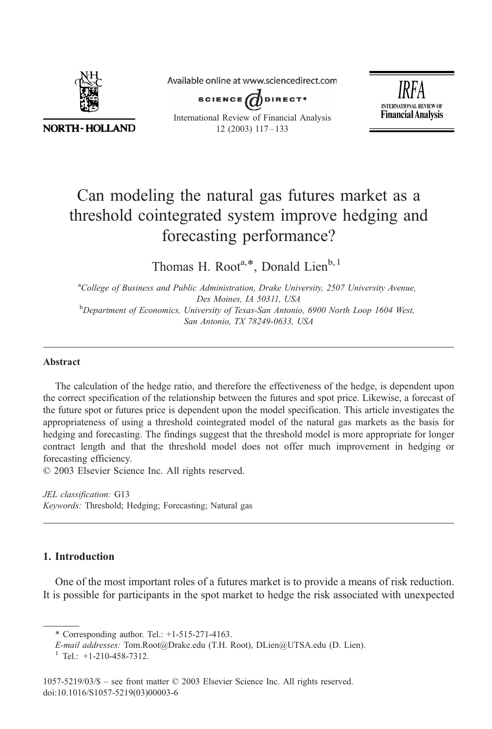

**NORTH-HOLLAND** 

Available online at www.sciencedirect.com

SCIENCE UDIRECT<sup>®</sup>

International Review of Financial Analysis 12 (2003) 117 – 133

**INTERNATIONAL REVIEW OF Financial Analysis** 

## Can modeling the natural gas futures market as a threshold cointegrated system improve hedging and forecasting performance?

Thomas H. Root<sup>a,\*</sup>, Donald Lien<sup>b, 1</sup>

<sup>a</sup>College of Business and Public Administration, Drake University, 2507 University Avenue, Des Moines, IA 50311, USA<br><sup>b</sup>Department of Economics, University of Texas-San Antonio, 6900 North Loop 1604 West, San Antonio, TX 78249-0633, USA

## Abstract

The calculation of the hedge ratio, and therefore the effectiveness of the hedge, is dependent upon the correct specification of the relationship between the futures and spot price. Likewise, a forecast of the future spot or futures price is dependent upon the model specification. This article investigates the appropriateness of using a threshold cointegrated model of the natural gas markets as the basis for hedging and forecasting. The findings suggest that the threshold model is more appropriate for longer contract length and that the threshold model does not offer much improvement in hedging or forecasting efficiency.

 $© 2003 Elsevier Science Inc. All rights reserved.$ 

JEL classification: G13 Keywords: Threshold; Hedging; Forecasting; Natural gas

## 1. Introduction

One of the most important roles of a futures market is to provide a means of risk reduction. It is possible for participants in the spot market to hedge the risk associated with unexpected

<sup>\*</sup> Corresponding author. Tel.: +1-515-271-4163.

E-mail addresses: Tom.Root@Drake.edu (T.H. Root), DLien@UTSA.edu (D. Lien).  $1$  Tel.: +1-210-458-7312.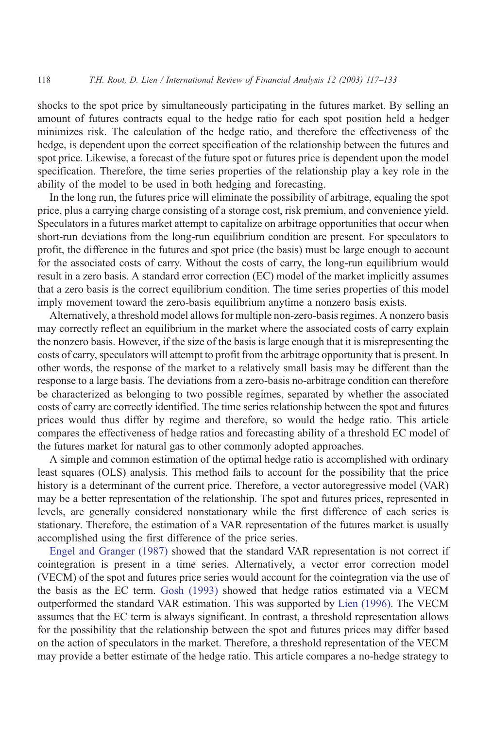shocks to the spot price by simultaneously participating in the futures market. By selling an amount of futures contracts equal to the hedge ratio for each spot position held a hedger minimizes risk. The calculation of the hedge ratio, and therefore the effectiveness of the hedge, is dependent upon the correct specification of the relationship between the futures and spot price. Likewise, a forecast of the future spot or futures price is dependent upon the model specification. Therefore, the time series properties of the relationship play a key role in the ability of the model to be used in both hedging and forecasting.

In the long run, the futures price will eliminate the possibility of arbitrage, equaling the spot price, plus a carrying charge consisting of a storage cost, risk premium, and convenience yield. Speculators in a futures market attempt to capitalize on arbitrage opportunities that occur when short-run deviations from the long-run equilibrium condition are present. For speculators to profit, the difference in the futures and spot price (the basis) must be large enough to account for the associated costs of carry. Without the costs of carry, the long-run equilibrium would result in a zero basis. A standard error correction (EC) model of the market implicitly assumes that a zero basis is the correct equilibrium condition. The time series properties of this model imply movement toward the zero-basis equilibrium anytime a nonzero basis exists.

Alternatively, a threshold model allows for multiple non-zero-basis regimes. A nonzero basis may correctly reflect an equilibrium in the market where the associated costs of carry explain the nonzero basis. However, if the size of the basis is large enough that it is misrepresenting the costs of carry, speculators will attempt to profit from the arbitrage opportunity that is present. In other words, the response of the market to a relatively small basis may be different than the response to a large basis. The deviations from a zero-basis no-arbitrage condition can therefore be characterized as belonging to two possible regimes, separated by whether the associated costs of carry are correctly identified. The time series relationship between the spot and futures prices would thus differ by regime and therefore, so would the hedge ratio. This article compares the effectiveness of hedge ratios and forecasting ability of a threshold EC model of the futures market for natural gas to other commonly adopted approaches.

A simple and common estimation of the optimal hedge ratio is accomplished with ordinary least squares (OLS) analysis. This method fails to account for the possibility that the price history is a determinant of the current price. Therefore, a vector autoregressive model (VAR) may be a better representation of the relationship. The spot and futures prices, represented in levels, are generally considered nonstationary while the first difference of each series is stationary. Therefore, the estimation of a VAR representation of the futures market is usually accomplished using the first difference of the price series.

[Engel and Granger \(1987\)](#page--1-0) showed that the standard VAR representation is not correct if cointegration is present in a time series. Alternatively, a vector error correction model (VECM) of the spot and futures price series would account for the cointegration via the use of the basis as the EC term. [Gosh \(1993\)](#page--1-0) showed that hedge ratios estimated via a VECM outperformed the standard VAR estimation. This was supported by [Lien \(1996\).](#page--1-0) The VECM assumes that the EC term is always significant. In contrast, a threshold representation allows for the possibility that the relationship between the spot and futures prices may differ based on the action of speculators in the market. Therefore, a threshold representation of the VECM may provide a better estimate of the hedge ratio. This article compares a no-hedge strategy to